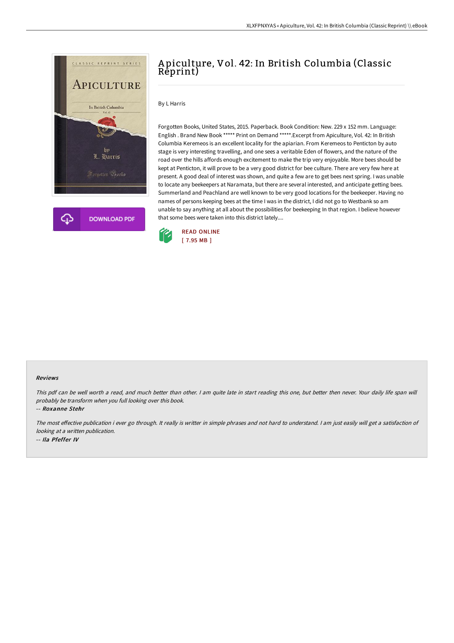



## A piculture, Vol. 42: In British Columbia (Classic Reprint)

## By L Harris

Forgotten Books, United States, 2015. Paperback. Book Condition: New. 229 x 152 mm. Language: English . Brand New Book \*\*\*\*\* Print on Demand \*\*\*\*\*.Excerpt from Apiculture, Vol. 42: In British Columbia Keremeos is an excellent locality for the apiarian. From Keremeos to Penticton by auto stage is very interesting travelling, and one sees a veritable Eden of flowers, and the nature of the road over the hills affords enough excitement to make the trip very enjoyable. More bees should be kept at Penticton, it will prove to be a very good district for bee culture. There are very few here at present. A good deal of interest was shown, and quite a few are to get bees next spring. I was unable to locate any beekeepers at Naramata, but there are several interested, and anticipate getting bees. Summerland and Peachland are well known to be very good locations for the beekeeper. Having no names of persons keeping bees at the time I was in the district, I did not go to Westbank so am unable to say anything at all about the possibilities for beekeeping In that region. I believe however that some bees were taken into this district lately....



## Reviews

This pdf can be well worth <sup>a</sup> read, and much better than other. <sup>I</sup> am quite late in start reading this one, but better then never. Your daily life span will probably be transform when you full looking over this book.

-- Roxanne Stehr

The most effective publication i ever go through. It really is writter in simple phrases and not hard to understand. I am just easily will get a satisfaction of looking at <sup>a</sup> written publication. -- Ila Pfeffer IV